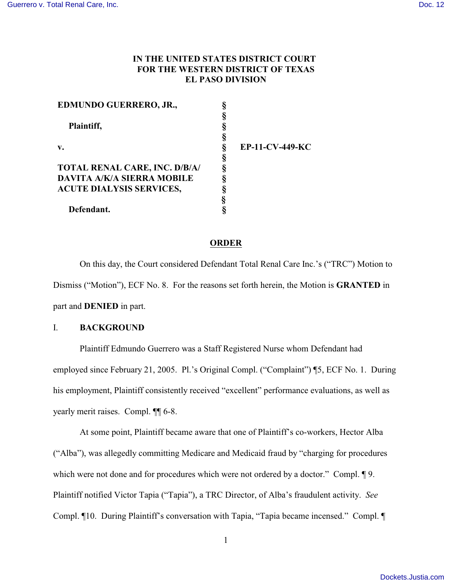# **IN THE UNITED STATES DISTRICT COURT FOR THE WESTERN DISTRICT OF TEXAS EL PASO DIVISION**

| EDMUNDO GUERRERO, JR.,               |                        |
|--------------------------------------|------------------------|
|                                      |                        |
| Plaintiff,                           |                        |
|                                      |                        |
| $\mathbf{v}$ .                       | <b>EP-11-CV-449-KC</b> |
|                                      |                        |
| <b>TOTAL RENAL CARE, INC. D/B/A/</b> |                        |
| <b>DAVITA A/K/A SIERRA MOBILE</b>    |                        |
| <b>ACUTE DIALYSIS SERVICES,</b>      |                        |
|                                      |                        |
| Defendant.                           |                        |

#### **ORDER**

On this day, the Court considered Defendant Total Renal Care Inc.'s ("TRC") Motion to Dismiss ("Motion"), ECF No. 8. For the reasons set forth herein, the Motion is **GRANTED** in part and **DENIED** in part.

## I. **BACKGROUND**

Plaintiff Edmundo Guerrero was a Staff Registered Nurse whom Defendant had employed since February 21, 2005. Pl.'s Original Compl. ("Complaint") ¶5, ECF No. 1. During his employment, Plaintiff consistently received "excellent" performance evaluations, as well as yearly merit raises. Compl. ¶¶ 6-8.

At some point, Plaintiff became aware that one of Plaintiff's co-workers, Hector Alba ("Alba"), was allegedly committing Medicare and Medicaid fraud by "charging for procedures which were not done and for procedures which were not ordered by a doctor." Compl.  $\lceil 9 \rceil$ . Plaintiff notified Victor Tapia ("Tapia"), a TRC Director, of Alba's fraudulent activity. *See* Compl. ¶10. During Plaintiff's conversation with Tapia, "Tapia became incensed." Compl. ¶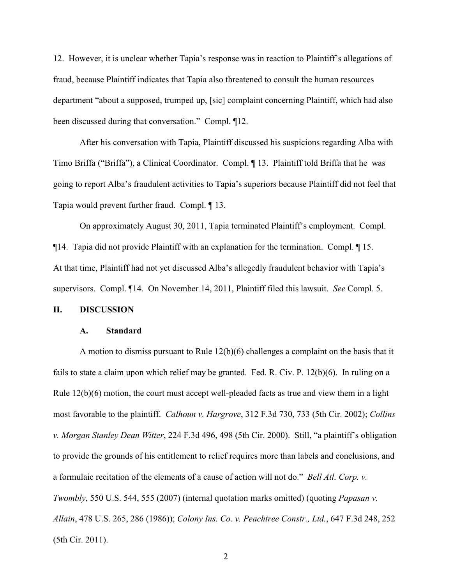12. However, it is unclear whether Tapia's response was in reaction to Plaintiff's allegations of fraud, because Plaintiff indicates that Tapia also threatened to consult the human resources department "about a supposed, trumped up, [sic] complaint concerning Plaintiff, which had also been discussed during that conversation." Compl. ¶12.

After his conversation with Tapia, Plaintiff discussed his suspicions regarding Alba with Timo Briffa ("Briffa"), a Clinical Coordinator. Compl. ¶ 13. Plaintiff told Briffa that he was going to report Alba's fraudulent activities to Tapia's superiors because Plaintiff did not feel that Tapia would prevent further fraud. Compl. ¶ 13.

On approximately August 30, 2011, Tapia terminated Plaintiff's employment. Compl. ¶14. Tapia did not provide Plaintiff with an explanation for the termination. Compl. ¶ 15. At that time, Plaintiff had not yet discussed Alba's allegedly fraudulent behavior with Tapia's supervisors. Compl. ¶14. On November 14, 2011, Plaintiff filed this lawsuit. *See* Compl. 5.

## **II. DISCUSSION**

## **A. Standard**

A motion to dismiss pursuant to Rule  $12(b)(6)$  challenges a complaint on the basis that it fails to state a claim upon which relief may be granted. Fed. R. Civ. P. 12(b)(6). In ruling on a Rule  $12(b)(6)$  motion, the court must accept well-pleaded facts as true and view them in a light most favorable to the plaintiff. *Calhoun v. Hargrove*, 312 F.3d 730, 733 (5th Cir. 2002); *Collins v. Morgan Stanley Dean Witter*, 224 F.3d 496, 498 (5th Cir. 2000). Still, "a plaintiff's obligation to provide the grounds of his entitlement to relief requires more than labels and conclusions, and a formulaic recitation of the elements of a cause of action will not do." *Bell Atl. Corp. v. Twombly*, 550 U.S. 544, 555 (2007) (internal quotation marks omitted) (quoting *Papasan v. Allain*, 478 U.S. 265, 286 (1986)); *Colony Ins. Co. v. Peachtree Constr., Ltd.*, 647 F.3d 248, 252 (5th Cir. 2011).

2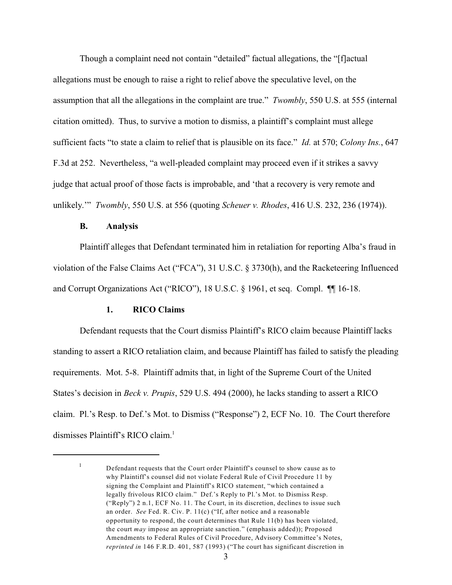Though a complaint need not contain "detailed" factual allegations, the "[f]actual allegations must be enough to raise a right to relief above the speculative level, on the assumption that all the allegations in the complaint are true." *Twombly*, 550 U.S. at 555 (internal citation omitted). Thus, to survive a motion to dismiss, a plaintiff's complaint must allege sufficient facts "to state a claim to relief that is plausible on its face." *Id.* at 570; *Colony Ins.*, 647 F.3d at 252. Nevertheless, "a well-pleaded complaint may proceed even if it strikes a savvy judge that actual proof of those facts is improbable, and 'that a recovery is very remote and unlikely.'" *Twombly*, 550 U.S. at 556 (quoting *Scheuer v. Rhodes*, 416 U.S. 232, 236 (1974)).

## **B. Analysis**

Plaintiff alleges that Defendant terminated him in retaliation for reporting Alba's fraud in violation of the False Claims Act ("FCA"), 31 U.S.C. § 3730(h), and the Racketeering Influenced and Corrupt Organizations Act ("RICO"), 18 U.S.C. § 1961, et seq. Compl. ¶¶ 16-18.

# **1. RICO Claims**

Defendant requests that the Court dismiss Plaintiff's RICO claim because Plaintiff lacks standing to assert a RICO retaliation claim, and because Plaintiff has failed to satisfy the pleading requirements. Mot. 5-8. Plaintiff admits that, in light of the Supreme Court of the United States's decision in *Beck v. Prupis*, 529 U.S. 494 (2000), he lacks standing to assert a RICO claim. Pl.'s Resp. to Def.'s Mot. to Dismiss ("Response") 2, ECF No. 10. The Court therefore dismisses Plaintiff's RICO claim.<sup>1</sup>

Defendant requests that the Court order Plaintiff's counsel to show cause as to 1 why Plaintiff's counsel did not violate Federal Rule of Civil Procedure 11 by signing the Complaint and Plaintiff's RICO statement, "which contained a legally frivolous RICO claim." Def.'s Reply to Pl.'s Mot. to Dismiss Resp. ("Reply") 2 n.1, ECF No. 11. The Court, in its discretion, declines to issue such an order. *See* Fed. R. Civ. P. 11(c) ("If, after notice and a reasonable opportunity to respond, the court determines that Rule 11(b) has been violated, the court *may* impose an appropriate sanction." (emphasis added)); Proposed Amendments to Federal Rules of Civil Procedure, Advisory Committee's Notes, *reprinted in* 146 F.R.D. 401, 587 (1993) ("The court has significant discretion in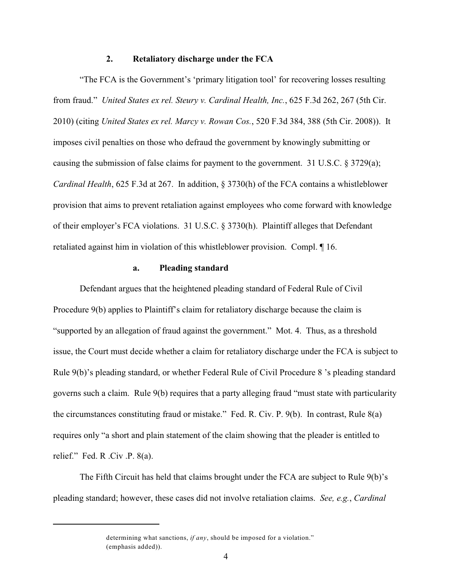#### **2. Retaliatory discharge under the FCA**

"The FCA is the Government's 'primary litigation tool' for recovering losses resulting from fraud." *United States ex rel. Steury v. Cardinal Health, Inc.*, 625 F.3d 262, 267 (5th Cir. 2010) (citing *United States ex rel. Marcy v. Rowan Cos.*, 520 F.3d 384, 388 (5th Cir. 2008)). It imposes civil penalties on those who defraud the government by knowingly submitting or causing the submission of false claims for payment to the government. 31 U.S.C.  $\S 3729(a)$ ; *Cardinal Health*, 625 F.3d at 267. In addition, § 3730(h) of the FCA contains a whistleblower provision that aims to prevent retaliation against employees who come forward with knowledge of their employer's FCA violations. 31 U.S.C. § 3730(h). Plaintiff alleges that Defendant retaliated against him in violation of this whistleblower provision. Compl. ¶ 16.

# **a. Pleading standard**

Defendant argues that the heightened pleading standard of Federal Rule of Civil Procedure 9(b) applies to Plaintiff's claim for retaliatory discharge because the claim is "supported by an allegation of fraud against the government." Mot. 4. Thus, as a threshold issue, the Court must decide whether a claim for retaliatory discharge under the FCA is subject to Rule 9(b)'s pleading standard, or whether Federal Rule of Civil Procedure 8 's pleading standard governs such a claim. Rule 9(b) requires that a party alleging fraud "must state with particularity the circumstances constituting fraud or mistake." Fed. R. Civ. P. 9(b). In contrast, Rule 8(a) requires only "a short and plain statement of the claim showing that the pleader is entitled to relief." Fed. R .Civ .P.  $8(a)$ .

The Fifth Circuit has held that claims brought under the FCA are subject to Rule 9(b)'s pleading standard; however, these cases did not involve retaliation claims. *See, e.g.*, *Cardinal*

determining what sanctions, *if any*, should be imposed for a violation." (emphasis added)).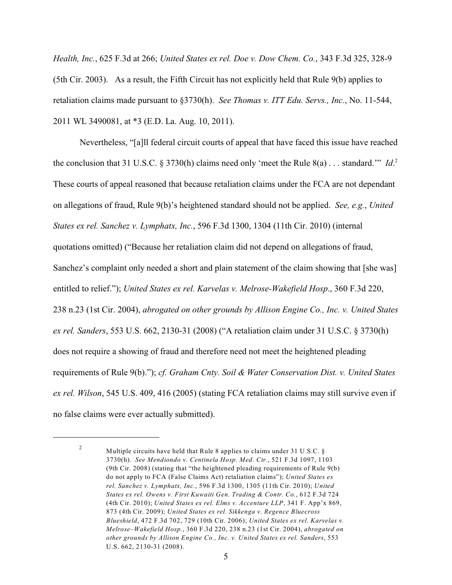*Health, Inc.*, 625 F.3d at 266; *United States ex rel. Doe v. Dow Chem. Co.*, 343 F.3d 325, 328-9 (5th Cir. 2003). As a result, the Fifth Circuit has not explicitly held that Rule 9(b) applies to retaliation claims made pursuant to §3730(h). *See Thomas v. ITT Edu. Servs., Inc.*, No. 11-544, 2011 WL 3490081, at \*3 (E.D. La. Aug. 10, 2011).

Nevertheless, "[a]ll federal circuit courts of appeal that have faced this issue have reached the conclusion that 31 U.S.C. § 3730(h) claims need only 'meet the Rule 8(a) . . . standard.'" *Id*. 2 These courts of appeal reasoned that because retaliation claims under the FCA are not dependant on allegations of fraud, Rule 9(b)'s heightened standard should not be applied. *See, e.g.*, *United States ex rel. Sanchez v. Lymphatx, Inc.*, 596 F.3d 1300, 1304 (11th Cir. 2010) (internal quotations omitted) ("Because her retaliation claim did not depend on allegations of fraud, Sanchez's complaint only needed a short and plain statement of the claim showing that [she was] entitled to relief."); *United States ex rel. Karvelas v. Melrose-Wakefield Hosp*., 360 F.3d 220, 238 n.23 (1st Cir. 2004), *abrogated on other grounds by Allison Engine Co., Inc. v. United States ex rel. Sanders*, 553 U.S. 662, 2130-31 (2008) ("A retaliation claim under 31 U.S.C. § 3730(h) does not require a showing of fraud and therefore need not meet the heightened pleading requirements of Rule 9(b)."); *cf. Graham Cnty. Soil & Water Conservation Dist. v. United States ex rel. Wilson*, 545 U.S. 409, 416 (2005) (stating FCA retaliation claims may still survive even if no false claims were ever actually submitted).

Multiple circuits have held that Rule 8 applies to claims under 31 U.S.C. § 2 3730(h). *See Mendiondo v. Centinela Hosp. Med. Ctr.*, 521 F.3d 1097, 1103 (9th Cir. 2008) (stating that "the heightened pleading requirements of Rule 9(b) do not apply to FCA (False Claims Act) retaliation claims"); *United States ex rel. Sanchez v. Lymphatx, Inc.*, 596 F.3d 1300, 1305 (11th Cir. 2010); *United States ex rel. Owens v. First Kuwaiti Gen. Trading & Contr. Co.*, 612 F.3d 724 (4th Cir. 2010); *United States ex rel. Elms v. Accenture LLP*, 341 F. App'x 869, 873 (4th Cir. 2009); *United States ex rel. Sikkenga v. Regence Bluecross Blueshield*, 472 F.3d 702, 729 (10th Cir. 2006); *United States ex rel. Karvelas v. Melrose–Wakefield Hosp.*, 360 F.3d 220, 238 n.23 (1st Cir. 2004), *abrogated on other grounds by Allison Engine Co., Inc. v. United States ex rel. Sanders*, 553 U.S. 662, 2130-31 (2008).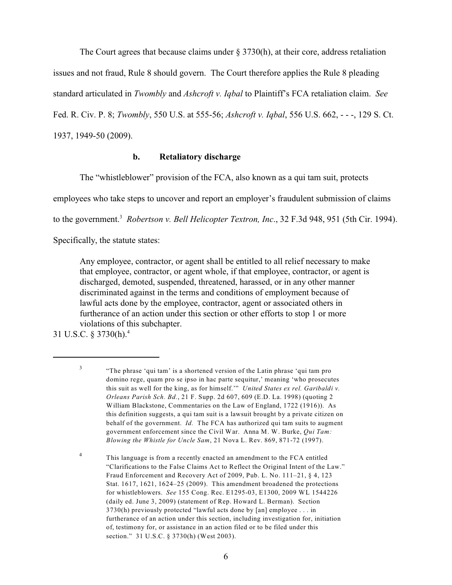The Court agrees that because claims under  $\S 3730(h)$ , at their core, address retaliation

issues and not fraud, Rule 8 should govern. The Court therefore applies the Rule 8 pleading

standard articulated in *Twombly* and *Ashcroft v. Iqbal* to Plaintiff's FCA retaliation claim. *See*

Fed. R. Civ. P. 8; *Twombly*, 550 U.S. at 555-56; *Ashcroft v. Iqbal*, 556 U.S. 662, - - -, 129 S. Ct.

1937, 1949-50 (2009).

# **b. Retaliatory discharge**

The "whistleblower" provision of the FCA, also known as a qui tam suit, protects

employees who take steps to uncover and report an employer's fraudulent submission of claims

to the government.<sup>3</sup> Robertson v. Bell Helicopter Textron, Inc., 32 F.3d 948, 951 (5th Cir. 1994).

Specifically, the statute states:

Any employee, contractor, or agent shall be entitled to all relief necessary to make that employee, contractor, or agent whole, if that employee, contractor, or agent is discharged, demoted, suspended, threatened, harassed, or in any other manner discriminated against in the terms and conditions of employment because of lawful acts done by the employee, contractor, agent or associated others in furtherance of an action under this section or other efforts to stop 1 or more violations of this subchapter.

31 U.S.C. § 3730(h).<sup>4</sup>

<sup>&</sup>quot;The phrase 'qui tam' is a shortened version of the Latin phrase 'qui tam pro 3 domino rege, quam pro se ipso in hac parte sequitur,' meaning 'who prosecutes this suit as well for the king, as for himself.'" *United States ex rel. Garibaldi v. Orleans Parish Sch. Bd.*, 21 F. Supp. 2d 607, 609 (E.D. La. 1998) (quoting 2 William Blackstone, Commentaries on the Law of England, 1722 (1916)). As this definition suggests, a qui tam suit is a lawsuit brought by a private citizen on behalf of the government. *Id.* The FCA has authorized qui tam suits to augment government enforcement since the Civil War. Anna M. W. Burke, *Qui Tam: Blowing the Whistle for Uncle Sam*, 21 Nova L. Rev. 869, 871-72 (1997).

This language is from a recently enacted an amendment to the FCA entitled 4 "Clarifications to the False Claims Act to Reflect the Original Intent of the Law." Fraud Enforcement and Recovery Act of 2009, Pub. L. No. 111–21, § 4, 123 Stat. 1617, 1621, 1624–25 (2009). This amendment broadened the protections for whistleblowers. *See* 155 Cong. Rec. E1295-03, E1300, 2009 WL 1544226 (daily ed. June 3, 2009) (statement of Rep. Howard L. Berman). Section 3730(h) previously protected "lawful acts done by [an] employee . . . in furtherance of an action under this section, including investigation for, initiation of, testimony for, or assistance in an action filed or to be filed under this section." 31 U.S.C. § 3730(h) (West 2003).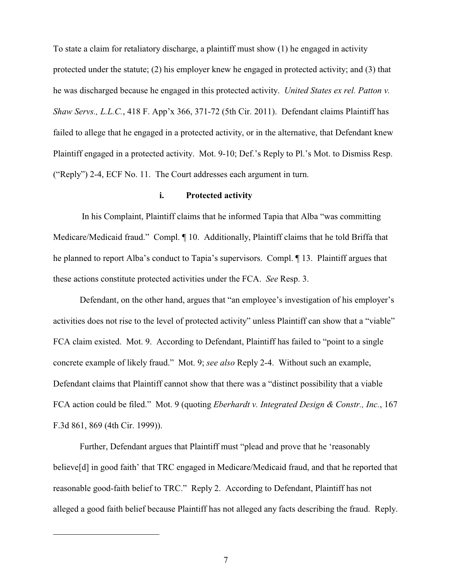To state a claim for retaliatory discharge, a plaintiff must show (1) he engaged in activity protected under the statute; (2) his employer knew he engaged in protected activity; and (3) that he was discharged because he engaged in this protected activity. *United States ex rel. Patton v. Shaw Servs., L.L.C.*, 418 F. App'x 366, 371-72 (5th Cir. 2011). Defendant claims Plaintiff has failed to allege that he engaged in a protected activity, or in the alternative, that Defendant knew Plaintiff engaged in a protected activity. Mot. 9-10; Def.'s Reply to Pl.'s Mot. to Dismiss Resp. ("Reply") 2-4, ECF No. 11. The Court addresses each argument in turn.

## **i. Protected activity**

 In his Complaint, Plaintiff claims that he informed Tapia that Alba "was committing Medicare/Medicaid fraud." Compl. ¶ 10. Additionally, Plaintiff claims that he told Briffa that he planned to report Alba's conduct to Tapia's supervisors. Compl. ¶ 13. Plaintiff argues that these actions constitute protected activities under the FCA. *See* Resp. 3.

Defendant, on the other hand, argues that "an employee's investigation of his employer's activities does not rise to the level of protected activity" unless Plaintiff can show that a "viable" FCA claim existed. Mot. 9. According to Defendant, Plaintiff has failed to "point to a single concrete example of likely fraud." Mot. 9; *see also* Reply 2-4. Without such an example, Defendant claims that Plaintiff cannot show that there was a "distinct possibility that a viable FCA action could be filed." Mot. 9 (quoting *Eberhardt v. Integrated Design & Constr., Inc.*, 167 F.3d 861, 869 (4th Cir. 1999)).

Further, Defendant argues that Plaintiff must "plead and prove that he 'reasonably believe[d] in good faith' that TRC engaged in Medicare/Medicaid fraud, and that he reported that reasonable good-faith belief to TRC." Reply 2. According to Defendant, Plaintiff has not alleged a good faith belief because Plaintiff has not alleged any facts describing the fraud. Reply.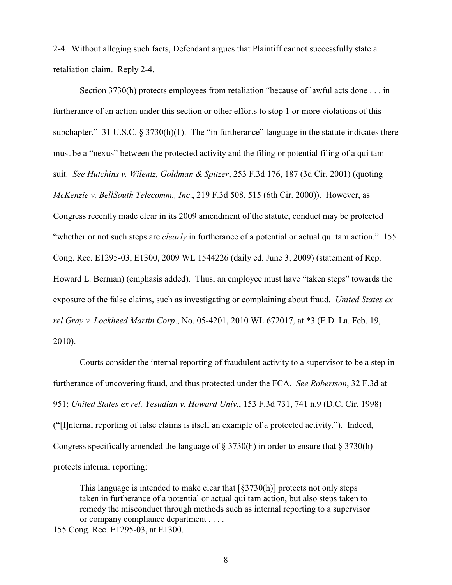2-4. Without alleging such facts, Defendant argues that Plaintiff cannot successfully state a retaliation claim. Reply 2-4.

Section 3730(h) protects employees from retaliation "because of lawful acts done . . . in furtherance of an action under this section or other efforts to stop 1 or more violations of this subchapter." 31 U.S.C. § 3730(h)(1). The "in furtherance" language in the statute indicates there must be a "nexus" between the protected activity and the filing or potential filing of a qui tam suit. *See Hutchins v. Wilentz, Goldman & Spitzer*, 253 F.3d 176, 187 (3d Cir. 2001) (quoting *McKenzie v. BellSouth Telecomm., Inc*., 219 F.3d 508, 515 (6th Cir. 2000)). However, as Congress recently made clear in its 2009 amendment of the statute, conduct may be protected "whether or not such steps are *clearly* in furtherance of a potential or actual qui tam action." 155 Cong. Rec. E1295-03, E1300, 2009 WL 1544226 (daily ed. June 3, 2009) (statement of Rep. Howard L. Berman) (emphasis added). Thus, an employee must have "taken steps" towards the exposure of the false claims, such as investigating or complaining about fraud. *United States ex rel Gray v. Lockheed Martin Corp*., No. 05-4201, 2010 WL 672017, at \*3 (E.D. La. Feb. 19, 2010).

Courts consider the internal reporting of fraudulent activity to a supervisor to be a step in furtherance of uncovering fraud, and thus protected under the FCA. *See Robertson*, 32 F.3d at 951; *United States ex rel. Yesudian v. Howard Univ.*, 153 F.3d 731, 741 n.9 (D.C. Cir. 1998) ("[I]nternal reporting of false claims is itself an example of a protected activity."). Indeed, Congress specifically amended the language of § 3730(h) in order to ensure that § 3730(h) protects internal reporting:

This language is intended to make clear that  $\lceil \frac{83730(h)}{h} \rceil$  protects not only steps taken in furtherance of a potential or actual qui tam action, but also steps taken to remedy the misconduct through methods such as internal reporting to a supervisor or company compliance department . . . .

155 Cong. Rec. E1295-03, at E1300.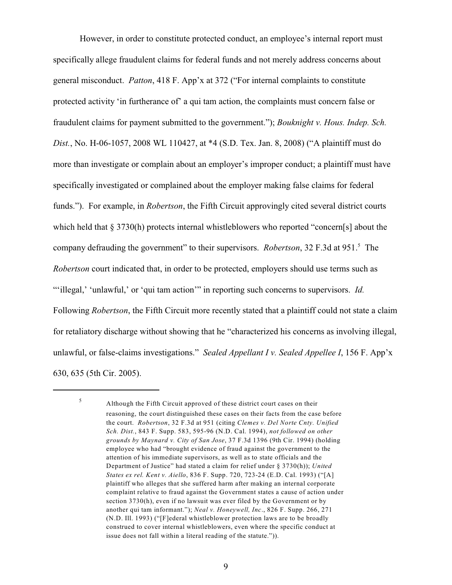However, in order to constitute protected conduct, an employee's internal report must specifically allege fraudulent claims for federal funds and not merely address concerns about general misconduct. *Patton*, 418 F. App'x at 372 ("For internal complaints to constitute protected activity 'in furtherance of' a qui tam action, the complaints must concern false or fraudulent claims for payment submitted to the government."); *Bouknight v. Hous. Indep. Sch. Dist.*, No. H-06-1057, 2008 WL 110427, at \*4 (S.D. Tex. Jan. 8, 2008) ("A plaintiff must do more than investigate or complain about an employer's improper conduct; a plaintiff must have specifically investigated or complained about the employer making false claims for federal funds."). For example, in *Robertson*, the Fifth Circuit approvingly cited several district courts which held that § 3730(h) protects internal whistleblowers who reported "concern[s] about the company defrauding the government" to their supervisors. *Robertson*, 32 F.3d at 951.<sup>5</sup> The *Robertson* court indicated that, in order to be protected, employers should use terms such as ""illegal," 'unlawful,' or 'qui tam action'" in reporting such concerns to supervisors. *Id.* Following *Robertson*, the Fifth Circuit more recently stated that a plaintiff could not state a claim for retaliatory discharge without showing that he "characterized his concerns as involving illegal, unlawful, or false-claims investigations." *Sealed Appellant I v. Sealed Appellee I*, 156 F. App'x 630, 635 (5th Cir. 2005).

5

Although the Fifth Circuit approved of these district court cases on their reasoning, the court distinguished these cases on their facts from the case before the court. *Robertson*, 32 F.3d at 951 (citing *Clemes v. Del Norte Cnty. Unified Sch. Dist.*, 843 F. Supp. 583, 595-96 (N.D. Cal. 1994), *not followed on other grounds by Maynard v. City of San Jose*, 37 F.3d 1396 (9th Cir. 1994) (holding employee who had "brought evidence of fraud against the government to the attention of his immediate supervisors, as well as to state officials and the Department of Justice" had stated a claim for relief under § 3730(h)); *United States ex rel. Kent v. Aiello*, 836 F. Supp. 720, 723-24 (E.D. Cal. 1993) ("[A] plaintiff who alleges that she suffered harm after making an internal corporate complaint relative to fraud against the Government states a cause of action under section 3730(h), even if no lawsuit was ever filed by the Government or by another qui tam informant."); *Neal v. Honeywell, Inc*., 826 F. Supp. 266, 271 (N.D. Ill. 1993) ("[F]ederal whistleblower protection laws are to be broadly construed to cover internal whistleblowers, even where the specific conduct at issue does not fall within a literal reading of the statute.")).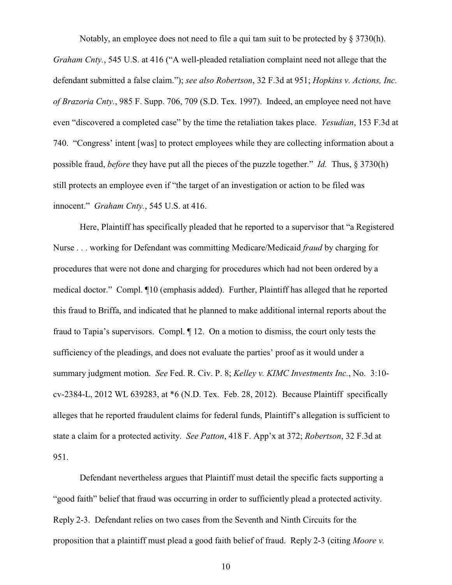Notably, an employee does not need to file a qui tam suit to be protected by  $\S 3730(h)$ . *Graham Cnty.*, 545 U.S. at 416 ("A well-pleaded retaliation complaint need not allege that the defendant submitted a false claim."); *see also Robertson*, 32 F.3d at 951; *Hopkins v. Actions, Inc. of Brazoria Cnty.*, 985 F. Supp. 706, 709 (S.D. Tex. 1997). Indeed, an employee need not have even "discovered a completed case" by the time the retaliation takes place. *Yesudian*, 153 F.3d at 740. "Congress' intent [was] to protect employees while they are collecting information about a possible fraud, *before* they have put all the pieces of the puzzle together." *Id.* Thus, § 3730(h) still protects an employee even if "the target of an investigation or action to be filed was innocent." *Graham Cnty.*, 545 U.S. at 416.

Here, Plaintiff has specifically pleaded that he reported to a supervisor that "a Registered Nurse . . . working for Defendant was committing Medicare/Medicaid *fraud* by charging for procedures that were not done and charging for procedures which had not been ordered by a medical doctor." Compl. ¶10 (emphasis added). Further, Plaintiff has alleged that he reported this fraud to Briffa, and indicated that he planned to make additional internal reports about the fraud to Tapia's supervisors. Compl. ¶ 12. On a motion to dismiss, the court only tests the sufficiency of the pleadings, and does not evaluate the parties' proof as it would under a summary judgment motion. *See* Fed. R. Civ. P. 8; *Kelley v. KIMC Investments Inc.*, No. 3:10 cv-2384-L, 2012 WL 639283, at \*6 (N.D. Tex. Feb. 28, 2012). Because Plaintiff specifically alleges that he reported fraudulent claims for federal funds, Plaintiff's allegation is sufficient to state a claim for a protected activity. *See Patton*, 418 F. App'x at 372; *Robertson*, 32 F.3d at 951.

Defendant nevertheless argues that Plaintiff must detail the specific facts supporting a "good faith" belief that fraud was occurring in order to sufficiently plead a protected activity. Reply 2-3. Defendant relies on two cases from the Seventh and Ninth Circuits for the proposition that a plaintiff must plead a good faith belief of fraud. Reply 2-3 (citing *Moore v.*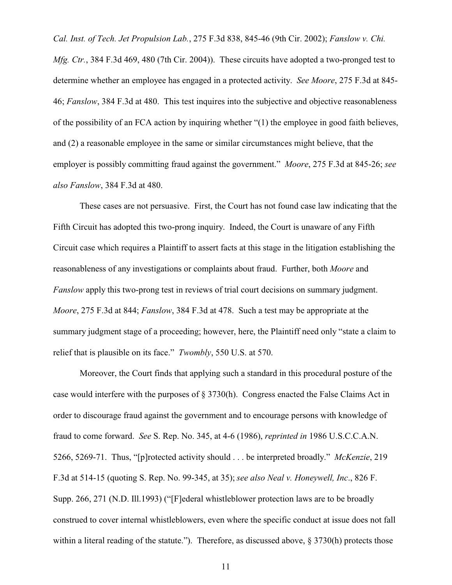*Cal. Inst. of Tech. Jet Propulsion Lab.*, 275 F.3d 838, 845-46 (9th Cir. 2002); *Fanslow v. Chi. Mfg. Ctr.*, 384 F.3d 469, 480 (7th Cir. 2004)). These circuits have adopted a two-pronged test to determine whether an employee has engaged in a protected activity. *See Moore*, 275 F.3d at 845- 46; *Fanslow*, 384 F.3d at 480. This test inquires into the subjective and objective reasonableness of the possibility of an FCA action by inquiring whether "(1) the employee in good faith believes, and (2) a reasonable employee in the same or similar circumstances might believe, that the employer is possibly committing fraud against the government." *Moore*, 275 F.3d at 845-26; *see also Fanslow*, 384 F.3d at 480.

These cases are not persuasive. First, the Court has not found case law indicating that the Fifth Circuit has adopted this two-prong inquiry. Indeed, the Court is unaware of any Fifth Circuit case which requires a Plaintiff to assert facts at this stage in the litigation establishing the reasonableness of any investigations or complaints about fraud. Further, both *Moore* and *Fanslow* apply this two-prong test in reviews of trial court decisions on summary judgment. *Moore*, 275 F.3d at 844; *Fanslow*, 384 F.3d at 478. Such a test may be appropriate at the summary judgment stage of a proceeding; however, here, the Plaintiff need only "state a claim to relief that is plausible on its face." *Twombly*, 550 U.S. at 570.

Moreover, the Court finds that applying such a standard in this procedural posture of the case would interfere with the purposes of § 3730(h). Congress enacted the False Claims Act in order to discourage fraud against the government and to encourage persons with knowledge of fraud to come forward. *See* S. Rep. No. 345, at 4-6 (1986), *reprinted in* 1986 U.S.C.C.A.N. 5266, 5269-71. Thus, "[p]rotected activity should . . . be interpreted broadly." *McKenzie*, 219 F.3d at 514-15 (quoting S. Rep. No. 99-345, at 35); *see also Neal v. Honeywell, Inc*., 826 F. Supp. 266, 271 (N.D. Ill.1993) ("[F]ederal whistleblower protection laws are to be broadly construed to cover internal whistleblowers, even where the specific conduct at issue does not fall within a literal reading of the statute."). Therefore, as discussed above, § 3730(h) protects those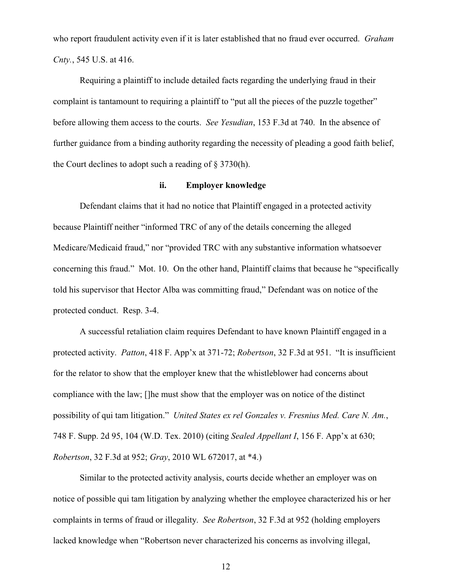who report fraudulent activity even if it is later established that no fraud ever occurred. *Graham Cnty.*, 545 U.S. at 416.

Requiring a plaintiff to include detailed facts regarding the underlying fraud in their complaint is tantamount to requiring a plaintiff to "put all the pieces of the puzzle together" before allowing them access to the courts. *See Yesudian*, 153 F.3d at 740. In the absence of further guidance from a binding authority regarding the necessity of pleading a good faith belief, the Court declines to adopt such a reading of § 3730(h).

## **ii. Employer knowledge**

Defendant claims that it had no notice that Plaintiff engaged in a protected activity because Plaintiff neither "informed TRC of any of the details concerning the alleged Medicare/Medicaid fraud," nor "provided TRC with any substantive information whatsoever concerning this fraud." Mot. 10. On the other hand, Plaintiff claims that because he "specifically told his supervisor that Hector Alba was committing fraud," Defendant was on notice of the protected conduct. Resp. 3-4.

A successful retaliation claim requires Defendant to have known Plaintiff engaged in a protected activity. *Patton*, 418 F. App'x at 371-72; *Robertson*, 32 F.3d at 951. "It is insufficient for the relator to show that the employer knew that the whistleblower had concerns about compliance with the law; []he must show that the employer was on notice of the distinct possibility of qui tam litigation." *United States ex rel Gonzales v. Fresnius Med. Care N. Am.*, 748 F. Supp. 2d 95, 104 (W.D. Tex. 2010) (citing *Sealed Appellant I*, 156 F. App'x at 630; *Robertson*, 32 F.3d at 952; *Gray*, 2010 WL 672017, at \*4.)

Similar to the protected activity analysis, courts decide whether an employer was on notice of possible qui tam litigation by analyzing whether the employee characterized his or her complaints in terms of fraud or illegality. *See Robertson*, 32 F.3d at 952 (holding employers lacked knowledge when "Robertson never characterized his concerns as involving illegal,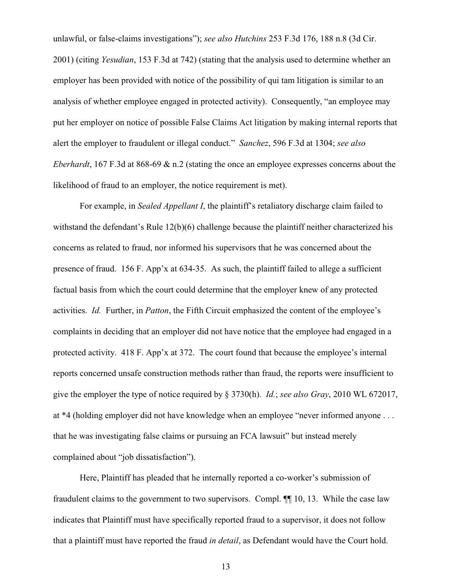unlawful, or false-claims investigations"); *see also Hutchins* 253 F.3d 176, 188 n.8 (3d Cir. 2001) (citing *Yesudian*, 153 F.3d at 742) (stating that the analysis used to determine whether an employer has been provided with notice of the possibility of qui tam litigation is similar to an analysis of whether employee engaged in protected activity). Consequently, "an employee may put her employer on notice of possible False Claims Act litigation by making internal reports that alert the employer to fraudulent or illegal conduct." *Sanchez*, 596 F.3d at 1304; *see also Eberhardt*, 167 F.3d at 868-69 & n.2 (stating the once an employee expresses concerns about the likelihood of fraud to an employer, the notice requirement is met).

For example, in *Sealed Appellant I*, the plaintiff's retaliatory discharge claim failed to withstand the defendant's Rule 12(b)(6) challenge because the plaintiff neither characterized his concerns as related to fraud, nor informed his supervisors that he was concerned about the presence of fraud. 156 F. App'x at 634-35. As such, the plaintiff failed to allege a sufficient factual basis from which the court could determine that the employer knew of any protected activities. *Id.* Further, in *Patton*, the Fifth Circuit emphasized the content of the employee's complaints in deciding that an employer did not have notice that the employee had engaged in a protected activity. 418 F. App'x at 372. The court found that because the employee's internal reports concerned unsafe construction methods rather than fraud, the reports were insufficient to give the employer the type of notice required by § 3730(h). *Id.*; *see also Gray*, 2010 WL 672017, at \*4 (holding employer did not have knowledge when an employee "never informed anyone . . . that he was investigating false claims or pursuing an FCA lawsuit" but instead merely complained about "job dissatisfaction").

Here, Plaintiff has pleaded that he internally reported a co-worker's submission of fraudulent claims to the government to two supervisors. Compl. ¶¶ 10, 13. While the case law indicates that Plaintiff must have specifically reported fraud to a supervisor, it does not follow that a plaintiff must have reported the fraud *in detail*, as Defendant would have the Court hold.